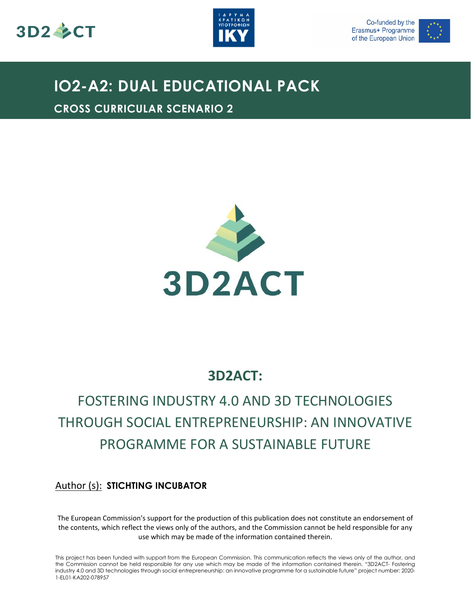





### **IO2-A2: DUAL EDUCATIONAL PACK**

**CROSS CURRICULAR SCENARIO 2**



### **3D2ACT:**

## FOSTERING INDUSTRY 4.0 AND 3D TECHNOLOGIES THROUGH SOCIAL ENTREPRENEURSHIP: AN INNOVATIVE PROGRAMME FOR A SUSTAINABLE FUTURE

### Author (s): **STICHTING INCUBATOR**

The European Commission's support for the production of this publication does not constitute an endorsement of the contents, which reflect the views only of the authors, and the Commission cannot be held responsible for any use which may be made of the information contained therein.

This project has been funded with support from the European Commission. This communication reflects the views only of the author, and the Commission cannot be held responsible for any use which may be made of the information contained therein. "3D2ACT- Fostering industry 4.0 and 3D technologies through social entrepreneurship: an innovative programme for a sustainable future" project number: 2020- 1-EL01-KA202-078957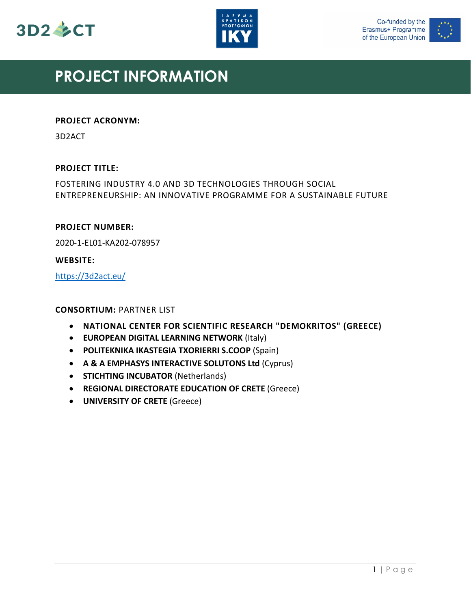





### **PROJECT INFORMATION**

#### **PROJECT ACRONYM:**

3D2ACT

#### **PROJECT TITLE:**

FOSTERING INDUSTRY 4.0 AND 3D TECHNOLOGIES THROUGH SOCIAL ENTREPRENEURSHIP: AN INNOVATIVE PROGRAMME FOR A SUSTAINABLE FUTURE

#### **PROJECT NUMBER:**

2020-1-EL01-KA202-078957

#### **WEBSITE:**

<https://3d2act.eu/>

#### **CONSORTIUM:** PARTNER LIST

- **NATIONAL CENTER FOR SCIENTIFIC RESEARCH "DEMOKRITOS" (GREECE)**
- **EUROPEAN DIGITAL LEARNING NETWORK** (Italy)
- **POLITEKNIKA IKASTEGIA TXORIERRI S.COOP** (Spain)
- **A & A EMPHASYS INTERACTIVE SOLUTONS Ltd** (Cyprus)
- **STICHTING INCUBATOR** (Netherlands)
- **REGIONAL DIRECTORATE EDUCATION OF CRETE** (Greece)
- **UNIVERSITY OF CRETE** (Greece)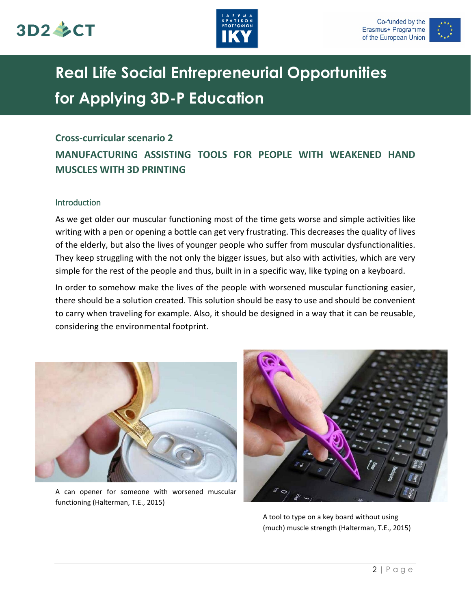





# **Real Life Social Entrepreneurial Opportunities for Applying 3D-P Education**

#### **Cross-curricular scenario 2**

### **MANUFACTURING ASSISTING TOOLS FOR PEOPLE WITH WEAKENED HAND MUSCLES WITH 3D PRINTING**

#### Introduction

As we get older our muscular functioning most of the time gets worse and simple activities like writing with a pen or opening a bottle can get very frustrating. This decreases the quality of lives of the elderly, but also the lives of younger people who suffer from muscular dysfunctionalities. They keep struggling with the not only the bigger issues, but also with activities, which are very simple for the rest of the people and thus, built in in a specific way, like typing on a keyboard.

In order to somehow make the lives of the people with worsened muscular functioning easier, there should be a solution created. This solution should be easy to use and should be convenient to carry when traveling for example. Also, it should be designed in a way that it can be reusable, considering the environmental footprint.



A can opener for someone with worsened muscular functioning (Halterman, T.E., 2015)



A tool to type on a key board without using (much) muscle strength (Halterman, T.E., 2015)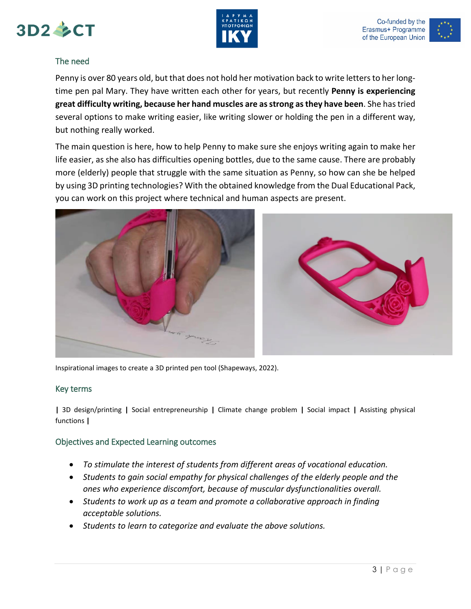





#### The need

Penny is over 80 years old, but that does not hold her motivation back to write letters to her longtime pen pal Mary. They have written each other for years, but recently **Penny is experiencing great difficulty writing, because her hand muscles are as strong as they have been**. She has tried several options to make writing easier, like writing slower or holding the pen in a different way, but nothing really worked.

The main question is here, how to help Penny to make sure she enjoys writing again to make her life easier, as she also has difficulties opening bottles, due to the same cause. There are probably more (elderly) people that struggle with the same situation as Penny, so how can she be helped by using 3D printing technologies? With the obtained knowledge from the Dual Educational Pack, you can work on this project where technical and human aspects are present.



Inspirational images to create a 3D printed pen tool (Shapeways, 2022).

#### Key terms

**|** 3D design/printing **|** Social entrepreneurship **|** Climate change problem **|** Social impact **|** Assisting physical functions **|**

#### Objectives and Expected Learning outcomes

- *To stimulate the interest of students from different areas of vocational education.*
- *Students to gain social empathy for physical challenges of the elderly people and the ones who experience discomfort, because of muscular dysfunctionalities overall.*
- *Students to work up as a team and promote a collaborative approach in finding acceptable solutions.*
- *Students to learn to categorize and evaluate the above solutions.*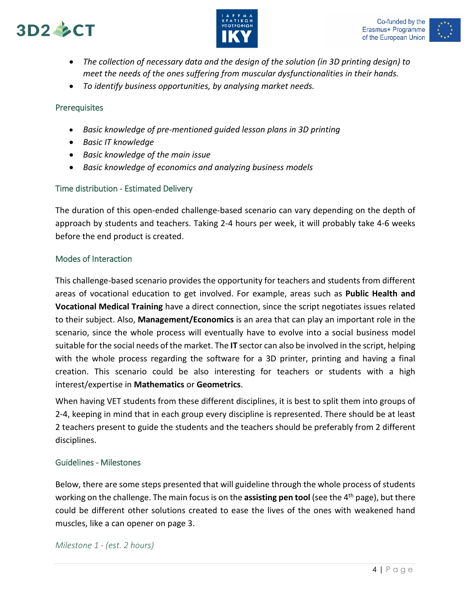





- *The collection of necessary data and the design of the solution (in 3D printing design) to meet the needs of the ones suffering from muscular dysfunctionalities in their hands.*
- *To identify business opportunities, by analysing market needs.*

#### **Prerequisites**

- *Basic knowledge of pre-mentioned guided lesson plans in 3D printing*
- *Basic IT knowledge*
- *Basic knowledge of the main issue*
- *Basic knowledge of economics and analyzing business models*

#### Time distribution - Estimated Delivery

The duration of this open-ended challenge-based scenario can vary depending on the depth of approach by students and teachers. Taking 2-4 hours per week, it will probably take 4-6 weeks before the end product is created.

#### Modes of Interaction

This challenge-based scenario provides the opportunity for teachers and students from different areas of vocational education to get involved. For example, areas such as **Public Health and Vocational Medical Training** have a direct connection, since the script negotiates issues related to their subject. Also, **Management/Economics** is an area that can play an important role in the scenario, since the whole process will eventually have to evolve into a social business model suitable for the social needs of the market. The **IT** sector can also be involved in the script, helping with the whole process regarding the software for a 3D printer, printing and having a final creation. This scenario could be also interesting for teachers or students with a high interest/expertise in **Mathematics** or **Geometrics**.

When having VET students from these different disciplines, it is best to split them into groups of 2-4, keeping in mind that in each group every discipline is represented. There should be at least 2 teachers present to guide the students and the teachers should be preferably from 2 different disciplines.

#### Guidelines - Milestones

Below, there are some steps presented that will guideline through the whole process of students working on the challenge. The main focus is on the **assisting pen tool** (see the 4th page), but there could be different other solutions created to ease the lives of the ones with weakened hand muscles, like a can opener on page 3.

*Milestone 1 - (est. 2 hours)*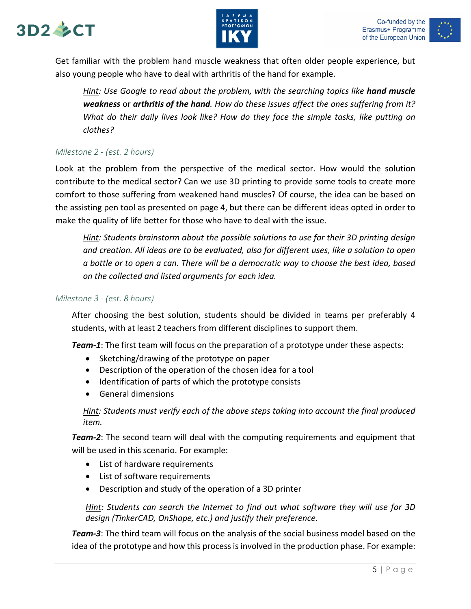# $3D2 \& C T$





Get familiar with the problem hand muscle weakness that often older people experience, but also young people who have to deal with arthritis of the hand for example.

*Hint: Use Google to read about the problem, with the searching topics like hand muscle weakness* or *arthritis of the hand. How do these issues affect the ones suffering from it? What do their daily lives look like? How do they face the simple tasks, like putting on clothes?*

#### *Milestone 2 - (est. 2 hours)*

Look at the problem from the perspective of the medical sector. How would the solution contribute to the medical sector? Can we use 3D printing to provide some tools to create more comfort to those suffering from weakened hand muscles? Of course, the idea can be based on the assisting pen tool as presented on page 4, but there can be different ideas opted in order to make the quality of life better for those who have to deal with the issue.

*Hint: Students brainstorm about the possible solutions to use for their 3D printing design and creation. All ideas are to be evaluated, also for different uses, like a solution to open a bottle or to open a can. There will be a democratic way to choose the best idea, based on the collected and listed arguments for each idea.*

#### *Milestone 3 - (est. 8 hours)*

After choosing the best solution, students should be divided in teams per preferably 4 students, with at least 2 teachers from different disciplines to support them.

*Team-1*: The first team will focus on the preparation of a prototype under these aspects:

- Sketching/drawing of the prototype on paper
- Description of the operation of the chosen idea for a tool
- Identification of parts of which the prototype consists
- General dimensions

*Hint: Students must verify each of the above steps taking into account the final produced item.*

*Team-2*: The second team will deal with the computing requirements and equipment that will be used in this scenario. For example:

- List of hardware requirements
- List of software requirements
- Description and study of the operation of a 3D printer

*Hint: Students can search the Internet to find out what software they will use for 3D design (TinkerCAD, OnShape, etc.) and justify their preference.* 

*Team-3*: The third team will focus on the analysis of the social business model based on the idea of the prototype and how this process is involved in the production phase. For example: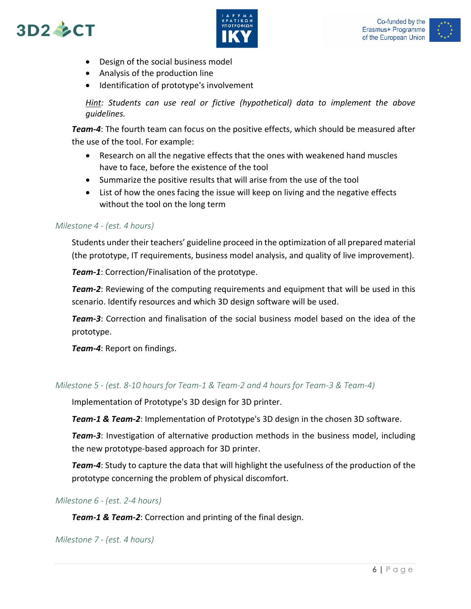# $3D2 \& C T$





- Design of the social business model
- Analysis of the production line
- Identification of prototype's involvement

*Hint: Students can use real or fictive (hypothetical) data to implement the above guidelines.*

*Team-4*: The fourth team can focus on the positive effects, which should be measured after the use of the tool. For example:

- Research on all the negative effects that the ones with weakened hand muscles have to face, before the existence of the tool
- Summarize the positive results that will arise from the use of the tool
- List of how the ones facing the issue will keep on living and the negative effects without the tool on the long term

#### *Milestone 4 - (est. 4 hours)*

Students under their teachers' guideline proceed in the optimization of all prepared material (the prototype, IT requirements, business model analysis, and quality of live improvement).

*Team-1*: Correction/Finalisation of the prototype.

*Team-2*: Reviewing of the computing requirements and equipment that will be used in this scenario. Identify resources and which 3D design software will be used.

*Team-3*: Correction and finalisation of the social business model based on the idea of the prototype.

*Team-4*: Report on findings.

#### *Milestone 5 - (est. 8-10 hours for Team-1 & Team-2 and 4 hours for Team-3 & Team-4)*

Implementation of Prototype's 3D design for 3D printer.

*Team-1 & Team-2*: Implementation of Prototype's 3D design in the chosen 3D software.

*Team-3*: Investigation of alternative production methods in the business model, including the new prototype-based approach for 3D printer.

*Team-4*: Study to capture the data that will highlight the usefulness of the production of the prototype concerning the problem of physical discomfort.

*Milestone 6 - (est. 2-4 hours)*

*Team-1 & Team-2*: Correction and printing of the final design.

*Milestone 7 - (est. 4 hours)*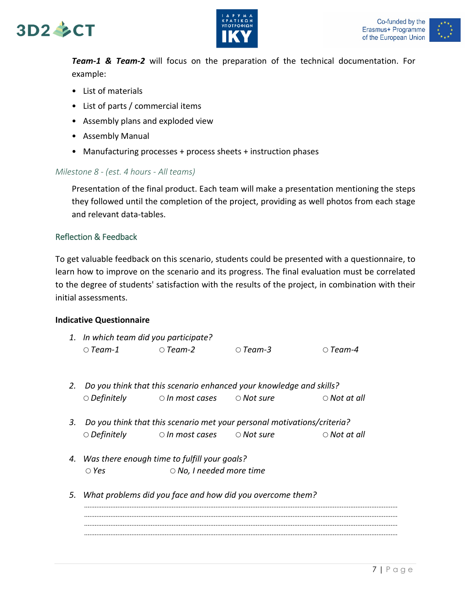



*Team-1 & Team-2* will focus on the preparation of the technical documentation. For example:

- List of materials
- List of parts / commercial items
- Assembly plans and exploded view
- Assembly Manual
- Manufacturing processes + process sheets + instruction phases

#### *Milestone 8 - (est. 4 hours - All teams)*

Presentation of the final product. Each team will make a presentation mentioning the steps they followed until the completion of the project, providing as well photos from each stage and relevant data-tables.

#### Reflection & Feedback

To get valuable feedback on this scenario, students could be presented with a questionnaire, to learn how to improve on the scenario and its progress. The final evaluation must be correlated to the degree of students' satisfaction with the results of the project, in combination with their initial assessments.

#### **Indicative Questionnaire**

| 1. In which team did you participate? |                |          |                |
|---------------------------------------|----------------|----------|----------------|
| $\circ$ Team-1                        | $\circ$ Team-2 | ○ Team-3 | $\circ$ Team-4 |

- *2. Do you think that this scenario enhanced your knowledge and skills? Definitely In most cases Not sure Not at all*
- *3. Do you think that this scenario met your personal motivations/criteria? Definitely In most cases Not sure Not at all*
- *4. Was there enough time to fulfill your goals? Yes No, I needed more time*
- *5. What problems did you face and how did you overcome them?* ................................................................................................................................................................................... ................................................................................................................................................................................... ...................................................................................................................................................................................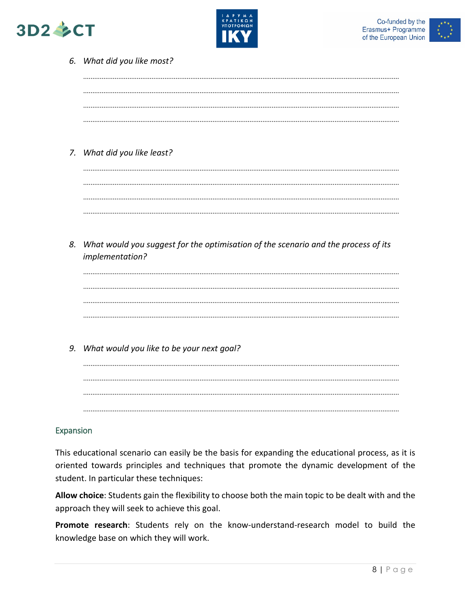





|    | 6. What did you like most?                                                         |
|----|------------------------------------------------------------------------------------|
|    |                                                                                    |
|    |                                                                                    |
|    |                                                                                    |
|    |                                                                                    |
|    | 7. What did you like least?                                                        |
|    |                                                                                    |
|    |                                                                                    |
|    |                                                                                    |
|    |                                                                                    |
| 8. | What would you suggest for the optimisation of the scenario and the process of its |
|    |                                                                                    |
|    | implementation?                                                                    |
|    |                                                                                    |
|    |                                                                                    |
|    |                                                                                    |
|    |                                                                                    |
| 9. |                                                                                    |
|    | What would you like to be your next goal?                                          |
|    |                                                                                    |
|    |                                                                                    |

#### Expansion

This educational scenario can easily be the basis for expanding the educational process, as it is oriented towards principles and techniques that promote the dynamic development of the student. In particular these techniques:

Allow choice: Students gain the flexibility to choose both the main topic to be dealt with and the approach they will seek to achieve this goal.

Promote research: Students rely on the know-understand-research model to build the knowledge base on which they will work.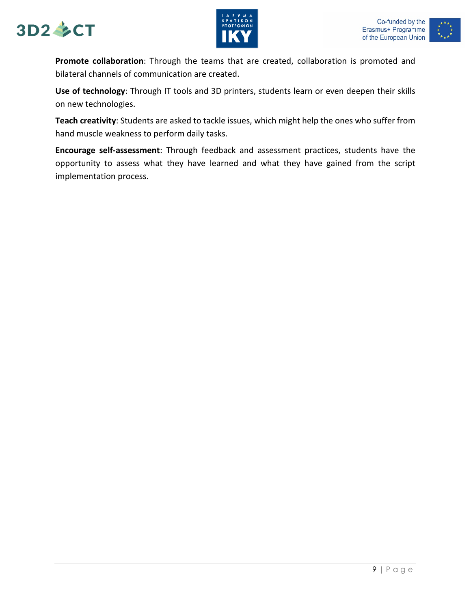





**Promote collaboration**: Through the teams that are created, collaboration is promoted and bilateral channels of communication are created.

**Use of technology**: Through IT tools and 3D printers, students learn or even deepen their skills on new technologies.

**Teach creativity**: Students are asked to tackle issues, which might help the ones who suffer from hand muscle weakness to perform daily tasks.

**Encourage self-assessment**: Through feedback and assessment practices, students have the opportunity to assess what they have learned and what they have gained from the script implementation process.